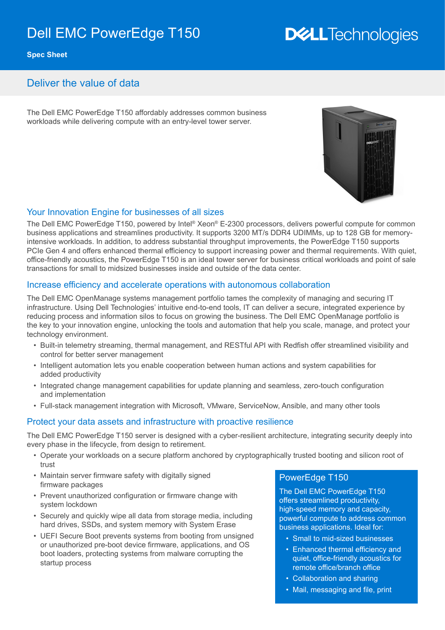# Dell EMC PowerEdge T150

# **DELLTechnologies**

**Spec Sheet**

# Deliver the value of data

The Dell EMC PowerEdge T150 affordably addresses common business workloads while delivering compute with an entry-level tower server.



#### Your Innovation Engine for businesses of all sizes

The Dell EMC PowerEdge T150, powered by Intel® Xeon® E-2300 processors, delivers powerful compute for common business applications and streamlines productivity. It supports 3200 MT/s DDR4 UDIMMs, up to 128 GB for memoryintensive workloads. In addition, to address substantial throughput improvements, the PowerEdge T150 supports PCIe Gen 4 and offers enhanced thermal efficiency to support increasing power and thermal requirements. With quiet, office-friendly acoustics, the PowerEdge T150 is an ideal tower server for business critical workloads and point of sale transactions for small to midsized businesses inside and outside of the data center.

#### Increase efficiency and accelerate operations with autonomous collaboration

The Dell EMC OpenManage systems management portfolio tames the complexity of managing and securing IT infrastructure. Using Dell Technologies' intuitive end-to-end tools, IT can deliver a secure, integrated experience by reducing process and information silos to focus on growing the business. The Dell EMC OpenManage portfolio is the key to your innovation engine, unlocking the tools and automation that help you scale, manage, and protect your technology environment.

- Built-in telemetry streaming, thermal management, and RESTful API with Redfish offer streamlined visibility and control for better server management
- Intelligent automation lets you enable cooperation between human actions and system capabilities for added productivity
- Integrated change management capabilities for update planning and seamless, zero-touch configuration and implementation
- Full-stack management integration with Microsoft, VMware, ServiceNow, Ansible, and many other tools

#### Protect your data assets and infrastructure with proactive resilience

The Dell EMC PowerEdge T150 server is designed with a cyber-resilient architecture, integrating security deeply into every phase in the lifecycle, from design to retirement.

- Operate your workloads on a secure platform anchored by cryptographically trusted booting and silicon root of trust
- Maintain server firmware safety with digitally signed firmware packages
- Prevent unauthorized configuration or firmware change with system lockdown
- Securely and quickly wipe all data from storage media, including hard drives, SSDs, and system memory with System Erase
- UEFI Secure Boot prevents systems from booting from unsigned or unauthorized pre-boot device firmware, applications, and OS boot loaders, protecting systems from malware corrupting the startup process

#### PowerEdge T150

The Dell EMC PowerEdge T150 offers streamlined productivity, high-speed memory and capacity, powerful compute to address common business applications. Ideal for:

- Small to mid-sized businesses
- Enhanced thermal efficiency and quiet, office-friendly acoustics for remote office/branch office
- Collaboration and sharing
- Mail, messaging and file, print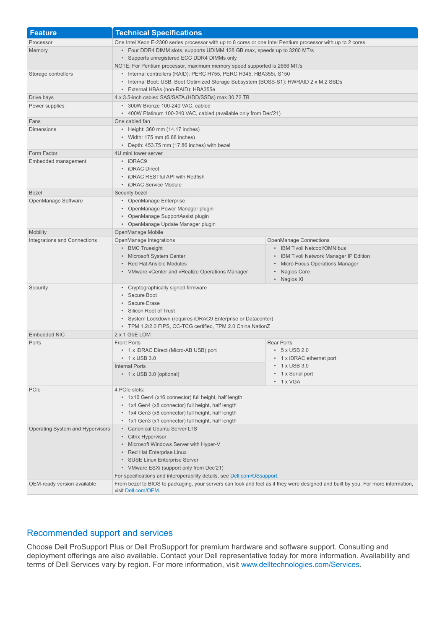| <b>Feature</b>                           | <b>Technical Specifications</b>                                                                                                                                                                              |                                         |
|------------------------------------------|--------------------------------------------------------------------------------------------------------------------------------------------------------------------------------------------------------------|-----------------------------------------|
| Processor                                | One Intel Xeon E-2300 series processor with up to 8 cores or one Intel Pentium processor with up to 2 cores                                                                                                  |                                         |
| Memory                                   | • Four DDR4 DIMM slots, supports UDIMM 128 GB max, speeds up to 3200 MT/s                                                                                                                                    |                                         |
|                                          | • Supports unregistered ECC DDR4 DIMMs only<br>NOTE: For Pentium processor, maximum memory speed supported is 2666 MT/s                                                                                      |                                         |
|                                          |                                                                                                                                                                                                              |                                         |
| Storage controllers                      | • Internal controllers (RAID): PERC H755, PERC H345, HBA355i, S150                                                                                                                                           |                                         |
|                                          | • Internal Boot: USB, Boot Optimized Storage Subsystem (BOSS-S1): HWRAID 2 x M.2 SSDs                                                                                                                        |                                         |
|                                          | • External HBAs (non-RAID): HBA355e                                                                                                                                                                          |                                         |
| Drive bays                               | 4 x 3.5-inch cabled SAS/SATA (HDD/SSDs) max 30.72 TB                                                                                                                                                         |                                         |
| Power supplies                           | • 300W Bronze 100-240 VAC, cabled<br>• 400W Platinum 100-240 VAC, cabled (available only from Dec'21)                                                                                                        |                                         |
| Fans                                     | One cabled fan                                                                                                                                                                                               |                                         |
| <b>Dimensions</b>                        | • Height: 360 mm (14.17 inches)                                                                                                                                                                              |                                         |
|                                          | • Width: 175 mm (6.88 inches)                                                                                                                                                                                |                                         |
|                                          | • Depth: 453.75 mm (17.86 inches) with bezel                                                                                                                                                                 |                                         |
| Form Factor                              | 4U mini tower server                                                                                                                                                                                         |                                         |
| Embedded management                      | • iDRAC9                                                                                                                                                                                                     |                                         |
|                                          | • iDRAC Direct                                                                                                                                                                                               |                                         |
|                                          | • iDRAC RESTful API with Redfish                                                                                                                                                                             |                                         |
|                                          | • iDRAC Service Module                                                                                                                                                                                       |                                         |
| <b>Bezel</b>                             | Security bezel                                                                                                                                                                                               |                                         |
| OpenManage Software                      | • OpenManage Enterprise<br>• OpenManage Power Manager plugin                                                                                                                                                 |                                         |
|                                          | • OpenManage SupportAssist plugin                                                                                                                                                                            |                                         |
|                                          | • OpenManage Update Manager plugin                                                                                                                                                                           |                                         |
| Mobility                                 | OpenManage Mobile                                                                                                                                                                                            |                                         |
| Integrations and Connections             | OpenManage Integrations                                                                                                                                                                                      | <b>OpenManage Connections</b>           |
|                                          | • BMC Truesight                                                                                                                                                                                              | • IBM Tivoli Netcool/OMNIbus            |
|                                          | • Microsoft System Center                                                                                                                                                                                    | • IBM Tivoli Network Manager IP Edition |
|                                          | • Red Hat Ansible Modules                                                                                                                                                                                    | • Micro Focus Operations Manager        |
|                                          | • VMware vCenter and vRealize Operations Manager                                                                                                                                                             | Nagios Core                             |
|                                          |                                                                                                                                                                                                              | Nagios XI                               |
| Security                                 | • Cryptographically signed firmware                                                                                                                                                                          |                                         |
|                                          | • Secure Boot<br>• Secure Erase                                                                                                                                                                              |                                         |
|                                          | • Silicon Root of Trust                                                                                                                                                                                      |                                         |
|                                          | • System Lockdown (requires iDRAC9 Enterprise or Datacenter)                                                                                                                                                 |                                         |
|                                          | • TPM 1.2/2.0 FIPS, CC-TCG certified, TPM 2.0 China NationZ                                                                                                                                                  |                                         |
| <b>Embedded NIC</b>                      | 2 x 1 GbE LOM                                                                                                                                                                                                |                                         |
| Ports                                    | <b>Front Ports</b>                                                                                                                                                                                           | <b>Rear Ports</b>                       |
|                                          | • 1 x iDRAC Direct (Micro-AB USB) port                                                                                                                                                                       | $\cdot$ 5 x USB 2.0                     |
|                                          | $\cdot$ 1 x USB 3.0                                                                                                                                                                                          | • 1 x iDRAC ethernet port               |
|                                          | <b>Internal Ports</b>                                                                                                                                                                                        | 1 x USB 3.0<br>۰                        |
|                                          | • 1 x USB 3.0 (optional)                                                                                                                                                                                     | 1 x Serial port                         |
|                                          |                                                                                                                                                                                                              | $\cdot$ 1 x VGA                         |
| PCIe                                     | 4 PCIe slots:<br>• 1x16 Gen4 (x16 connector) full height, half length                                                                                                                                        |                                         |
|                                          | • 1x4 Gen4 (x8 connector) full height, half length                                                                                                                                                           |                                         |
|                                          | • 1x4 Gen3 (x8 connector) full height, half length                                                                                                                                                           |                                         |
|                                          | • 1x1 Gen3 (x1 connector) full height, half length                                                                                                                                                           |                                         |
| Operating System and Hypervisors         | • Canonical Ubuntu Server LTS                                                                                                                                                                                |                                         |
|                                          | • Citrix Hypervisor                                                                                                                                                                                          |                                         |
|                                          | • Microsoft Windows Server with Hyper-V                                                                                                                                                                      |                                         |
|                                          | • Red Hat Enterprise Linux                                                                                                                                                                                   |                                         |
|                                          | • SUSE Linux Enterprise Server                                                                                                                                                                               |                                         |
| • VMware ESXi (support only from Dec'21) |                                                                                                                                                                                                              |                                         |
|                                          | For specifications and interoperability details, see Dell.com/OSsupport.<br>From bezel to BIOS to packaging, your servers can look and feel as if they were designed and built by you. For more information, |                                         |
| OEM-ready version available              | visit Dell.com/OEM.                                                                                                                                                                                          |                                         |

## Recommended support and services

Choose Dell ProSupport Plus or Dell ProSupport for premium hardware and software support. Consulting and deployment offerings are also available. Contact your Dell representative today for more information. Availability and terms of Dell Services vary by region. For more information, visit [www.delltechnologies.com/Services](http://www.delltechnologies.com/Services).